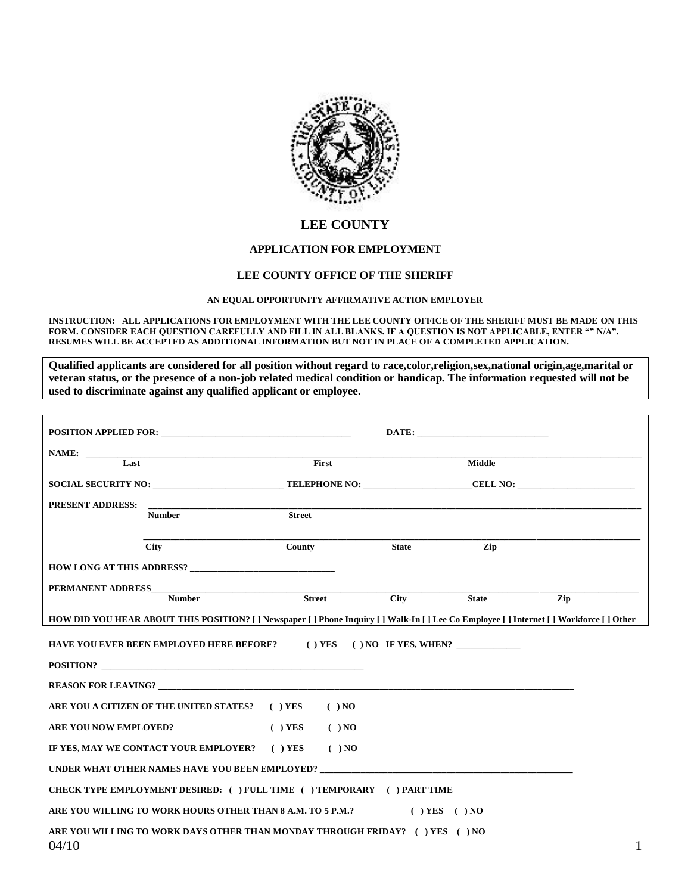

## **LEE COUNTY**

## **APPLICATION FOR EMPLOYMENT**

## **LEE COUNTY OFFICE OF THE SHERIFF**

## **AN EQUAL OPPORTUNITY AFFIRMATIVE ACTION EMPLOYER**

**INSTRUCTION: ALL APPLICATIONS FOR EMPLOYMENT WITH THE LEE COUNTY OFFICE OF THE SHERIFF MUST BE MADE ON THIS FORM. CONSIDER EACH QUESTION CAREFULLY AND FILL IN ALL BLANKS. IF A QUESTION IS NOT APPLICABLE, ENTER "" N/A". RESUMES WILL BE ACCEPTED AS ADDITIONAL INFORMATION BUT NOT IN PLACE OF A COMPLETED APPLICATION.**

**Qualified applicants are considered for all position without regard to race,color,religion,sex,national origin,age,marital or veteran status, or the presence of a non-job related medical condition or handicap. The information requested will not be used to discriminate against any qualified applicant or employee.**

|                       |                                                                                                                                     |               |               |              | DATE:         |     |   |
|-----------------------|-------------------------------------------------------------------------------------------------------------------------------------|---------------|---------------|--------------|---------------|-----|---|
|                       |                                                                                                                                     |               |               |              |               |     |   |
| Last                  |                                                                                                                                     |               | <b>First</b>  |              | <b>Middle</b> |     |   |
|                       |                                                                                                                                     |               |               |              |               |     |   |
| PRESENT ADDRESS:      |                                                                                                                                     |               |               |              |               |     |   |
|                       | <b>Number</b>                                                                                                                       | <b>Street</b> |               |              |               |     |   |
|                       | <b>City</b>                                                                                                                         | County        |               | <b>State</b> | Zip           |     |   |
|                       |                                                                                                                                     |               |               |              |               |     |   |
| PERMANENT ADDRESS     |                                                                                                                                     |               |               |              |               |     |   |
|                       | <b>Number</b>                                                                                                                       |               | <b>Street</b> | <b>City</b>  | <b>State</b>  | Zip |   |
|                       | HOW DID YOU HEAR ABOUT THIS POSITION? [] Newspaper [] Phone Inquiry [] Walk-In [] Lee Co Employee [] Internet [] Workforce [] Other |               |               |              |               |     |   |
|                       | HAVE YOU EVER BEEN EMPLOYED HERE BEFORE? ( ) YES ( ) NO IF YES, WHEN?                                                               |               |               |              |               |     |   |
|                       |                                                                                                                                     |               |               |              |               |     |   |
|                       | <b>REASON FOR LEAVING?</b>                                                                                                          |               |               |              |               |     |   |
|                       | ARE YOU A CITIZEN OF THE UNITED STATES? ( ) YES                                                                                     |               | $( )$ NO      |              |               |     |   |
| ARE YOU NOW EMPLOYED? |                                                                                                                                     | $( )$ YES     | $( )$ NO      |              |               |     |   |
|                       | IF YES, MAY WE CONTACT YOUR EMPLOYER? ( ) YES                                                                                       |               | $( )$ NO      |              |               |     |   |
|                       | UNDER WHAT OTHER NAMES HAVE YOU BEEN EMPLOYED?                                                                                      |               |               |              |               |     |   |
|                       | CHECK TYPE EMPLOYMENT DESIRED: ( ) FULL TIME ( ) TEMPORARY ( ) PART TIME                                                            |               |               |              |               |     |   |
|                       | ARE YOU WILLING TO WORK HOURS OTHER THAN 8 A.M. TO 5 P.M.? ( ) YES ( ) NO                                                           |               |               |              |               |     |   |
| 04/10                 | ARE YOU WILLING TO WORK DAYS OTHER THAN MONDAY THROUGH FRIDAY? () YES () NO                                                         |               |               |              |               |     | 1 |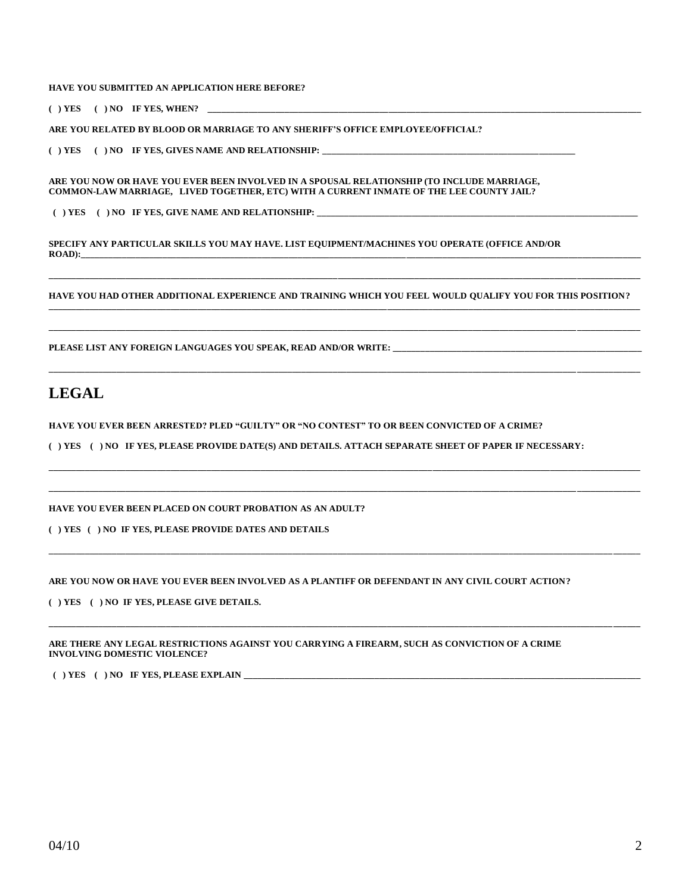**HAVE YOU SUBMITTED AN APPLICATION HERE BEFORE?** 

 $( )$  YES  $( )$  NO IF YES, WHEN?  $\Box$ 

**ARE YOU RELATED BY BLOOD OR MARRIAGE TO ANY SHERIFF'S OFFICE EMPLOYEE/OFFICIAL?**

**( ) YES ( ) NO IF YES, GIVES NAME AND RELATIONSHIP: \_\_\_\_\_\_\_\_\_\_\_\_\_\_\_\_\_\_\_\_\_\_\_\_\_\_\_\_\_\_\_\_\_\_\_\_\_\_\_\_\_\_\_\_\_\_\_\_\_\_\_\_\_\_\_\_**

**ARE YOU NOW OR HAVE YOU EVER BEEN INVOLVED IN A SPOUSAL RELATIONSHIP (TO INCLUDE MARRIAGE, COMMON-LAW MARRIAGE, LIVED TOGETHER, ETC) WITH A CURRENT INMATE OF THE LEE COUNTY JAIL?**

( ) YES ( ) NO IF YES, GIVE NAME AND RELATIONSHIP:

**SPECIFY ANY PARTICULAR SKILLS YOU MAY HAVE. LIST EQUIPMENT/MACHINES YOU OPERATE (OFFICE AND/OR ROAD):\_\_\_\_\_\_\_\_\_\_\_\_\_\_\_\_\_\_\_\_\_\_\_\_\_\_\_\_\_\_\_\_\_\_\_\_\_\_\_\_\_\_\_\_\_\_\_\_\_\_\_\_\_\_\_\_\_\_\_\_\_\_\_\_\_\_\_\_\_\_\_\_\_\_\_\_\_\_\_\_\_\_\_\_\_\_\_\_\_\_\_\_\_\_\_\_\_\_\_\_\_\_\_\_\_\_\_\_\_\_\_\_\_\_\_\_\_\_\_\_\_\_\_\_**

**HAVE YOU HAD OTHER ADDITIONAL EXPERIENCE AND TRAINING WHICH YOU FEEL WOULD QUALIFY YOU FOR THIS POSITION? \_\_\_\_\_\_\_\_\_\_\_\_\_\_\_\_\_\_\_\_\_\_\_\_\_\_\_\_\_\_\_\_\_\_\_\_\_\_\_\_\_\_\_\_\_\_\_\_\_\_\_\_\_\_\_\_\_\_\_\_\_\_\_\_\_\_\_\_\_\_\_\_\_\_\_\_\_\_\_\_\_\_\_\_\_\_\_\_\_\_\_\_\_\_\_\_\_\_\_\_\_\_\_\_\_\_\_\_\_\_\_\_\_\_\_\_\_\_\_\_\_\_\_\_\_\_\_\_\_\_\_**

**\_\_\_\_\_\_\_\_\_\_\_\_\_\_\_\_\_\_\_\_\_\_\_\_\_\_\_\_\_\_\_\_\_\_\_\_\_\_\_\_\_\_\_\_\_\_\_\_\_\_\_\_\_\_\_\_\_\_\_\_\_\_\_\_\_\_\_\_\_\_\_\_\_\_\_\_\_\_\_\_\_\_\_\_\_\_\_\_\_\_\_\_\_\_\_\_\_\_\_\_\_\_\_\_\_\_\_\_\_\_\_\_\_\_\_\_\_\_\_\_\_\_\_\_\_\_\_\_\_\_\_**

**\_\_\_\_\_\_\_\_\_\_\_\_\_\_\_\_\_\_\_\_\_\_\_\_\_\_\_\_\_\_\_\_\_\_\_\_\_\_\_\_\_\_\_\_\_\_\_\_\_\_\_\_\_\_\_\_\_\_\_\_\_\_\_\_\_\_\_\_\_\_\_\_\_\_\_\_\_\_\_\_\_\_\_\_\_\_\_\_\_\_\_\_\_\_\_\_\_\_\_\_\_\_\_\_\_\_\_\_\_\_\_\_\_\_\_\_\_\_\_\_\_\_\_\_\_\_\_\_\_\_\_**

**\_\_\_\_\_\_\_\_\_\_\_\_\_\_\_\_\_\_\_\_\_\_\_\_\_\_\_\_\_\_\_\_\_\_\_\_\_\_\_\_\_\_\_\_\_\_\_\_\_\_\_\_\_\_\_\_\_\_\_\_\_\_\_\_\_\_\_\_\_\_\_\_\_\_\_\_\_\_\_\_\_\_\_\_\_\_\_\_\_\_\_\_\_\_\_\_\_\_\_\_\_\_\_\_\_\_\_\_\_\_\_\_\_\_\_\_\_\_\_\_\_\_\_\_\_\_\_\_\_\_\_**

**\_\_\_\_\_\_\_\_\_\_\_\_\_\_\_\_\_\_\_\_\_\_\_\_\_\_\_\_\_\_\_\_\_\_\_\_\_\_\_\_\_\_\_\_\_\_\_\_\_\_\_\_\_\_\_\_\_\_\_\_\_\_\_\_\_\_\_\_\_\_\_\_\_\_\_\_\_\_\_\_\_\_\_\_\_\_\_\_\_\_\_\_\_\_\_\_\_\_\_\_\_\_\_\_\_\_\_\_\_\_\_\_\_\_\_\_\_\_\_\_\_\_\_\_\_\_\_\_\_\_\_ \_\_\_\_\_\_\_\_\_\_\_\_\_\_\_\_\_\_\_\_\_\_\_\_\_\_\_\_\_\_\_\_\_\_\_\_\_\_\_\_\_\_\_\_\_\_\_\_\_\_\_\_\_\_\_\_\_\_\_\_\_\_\_\_\_\_\_\_\_\_\_\_\_\_\_\_\_\_\_\_\_\_\_\_\_\_\_\_\_\_\_\_\_\_\_\_\_\_\_\_\_\_\_\_\_\_\_\_\_\_\_\_\_\_\_\_\_\_\_\_\_\_\_\_\_\_\_\_\_\_\_**

**\_\_\_\_\_\_\_\_\_\_\_\_\_\_\_\_\_\_\_\_\_\_\_\_\_\_\_\_\_\_\_\_\_\_\_\_\_\_\_\_\_\_\_\_\_\_\_\_\_\_\_\_\_\_\_\_\_\_\_\_\_\_\_\_\_\_\_\_\_\_\_\_\_\_\_\_\_\_\_\_\_\_\_\_\_\_\_\_\_\_\_\_\_\_\_\_\_\_\_\_\_\_\_\_\_\_\_\_\_\_\_\_\_\_\_\_\_\_\_\_\_\_\_\_\_ \_\_\_\_\_\_**

**\_\_\_\_\_\_\_\_\_\_\_\_\_\_\_\_\_\_\_\_\_\_\_\_\_\_\_\_\_\_\_\_\_\_\_\_\_\_\_\_\_\_\_\_\_\_\_\_\_\_\_\_\_\_\_\_\_\_\_\_\_\_\_\_\_\_\_\_\_\_\_\_\_\_\_\_\_\_\_\_\_\_\_\_\_\_\_\_\_\_\_\_\_\_\_\_\_\_\_\_\_\_\_\_\_\_\_\_\_\_\_\_\_\_\_\_\_\_\_\_\_\_\_\_\_ \_\_\_\_\_\_**

**PLEASE LIST ANY FOREIGN LANGUAGES YOU SPEAK, READ AND/OR WRITE: \_\_\_\_\_\_\_\_\_\_\_\_\_\_\_\_\_\_\_\_\_\_\_\_\_\_\_\_\_\_\_\_\_\_\_\_\_\_\_\_\_\_\_\_\_\_\_\_\_\_\_\_\_\_\_**

## **LEGAL**

**HAVE YOU EVER BEEN ARRESTED? PLED "GUILTY" OR "NO CONTEST" TO OR BEEN CONVICTED OF A CRIME?** 

**( ) YES ( ) NO IF YES, PLEASE PROVIDE DATE(S) AND DETAILS. ATTACH SEPARATE SHEET OF PAPER IF NECESSARY:** 

**HAVE YOU EVER BEEN PLACED ON COURT PROBATION AS AN ADULT?** 

**( ) YES ( ) NO IF YES, PLEASE PROVIDE DATES AND DETAILS**

**ARE YOU NOW OR HAVE YOU EVER BEEN INVOLVED AS A PLANTIFF OR DEFENDANT IN ANY CIVIL COURT ACTION?**

**( ) YES ( ) NO IF YES, PLEASE GIVE DETAILS.**

**ARE THERE ANY LEGAL RESTRICTIONS AGAINST YOU CARRYING A FIREARM, SUCH AS CONVICTION OF A CRIME INVOLVING DOMESTIC VIOLENCE?** 

 $( )$  YES  $( )$  NO IF YES, PLEASE EXPLAIN  $\_\_$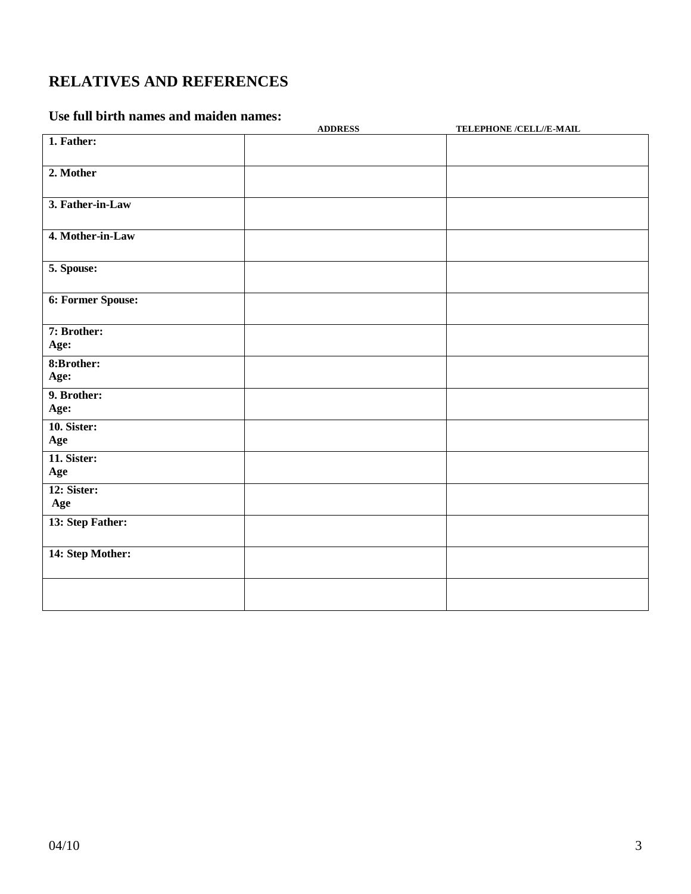# **RELATIVES AND REFERENCES**

## **Use full birth names and maiden names:**

|                     | <b>ADDRESS</b> | TELEPHONE /CELL//E-MAIL |
|---------------------|----------------|-------------------------|
| 1. Father:          |                |                         |
| 2. Mother           |                |                         |
| 3. Father-in-Law    |                |                         |
| 4. Mother-in-Law    |                |                         |
| 5. Spouse:          |                |                         |
| 6: Former Spouse:   |                |                         |
| 7: Brother:<br>Age: |                |                         |
| 8:Brother:          |                |                         |
| Age:                |                |                         |
| 9. Brother:<br>Age: |                |                         |
| 10. Sister:<br>Age  |                |                         |
| 11. Sister:<br>Age  |                |                         |
| 12: Sister:<br>Age  |                |                         |
| 13: Step Father:    |                |                         |
| 14: Step Mother:    |                |                         |
|                     |                |                         |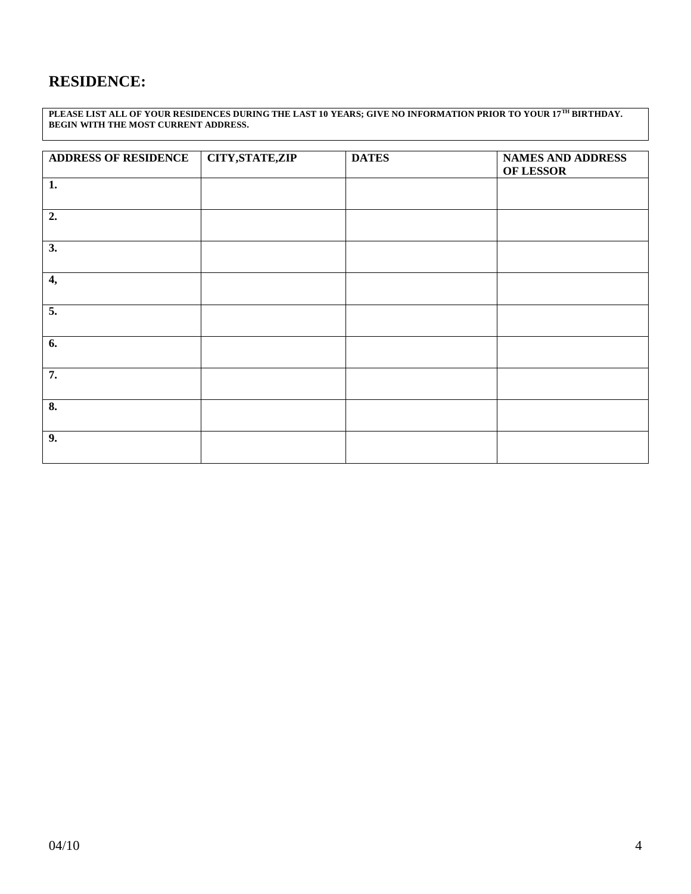# **RESIDENCE:**

**PLEASE LIST ALL OF YOUR RESIDENCES DURING THE LAST 10 YEARS; GIVE NO INFORMATION PRIOR TO YOUR 17TH BIRTHDAY. BEGIN WITH THE MOST CURRENT ADDRESS.** 

| <b>ADDRESS OF RESIDENCE</b> | <b>CITY, STATE, ZIP</b> | <b>DATES</b> | <b>NAMES AND ADDRESS</b><br>OF LESSOR |
|-----------------------------|-------------------------|--------------|---------------------------------------|
| 1.                          |                         |              |                                       |
| 2.                          |                         |              |                                       |
| 3.                          |                         |              |                                       |
| 4,                          |                         |              |                                       |
| $\overline{5}$ .            |                         |              |                                       |
| $\overline{6}$ .            |                         |              |                                       |
| 7.                          |                         |              |                                       |
| $\overline{\mathbf{8}}$ .   |                         |              |                                       |
| 9.                          |                         |              |                                       |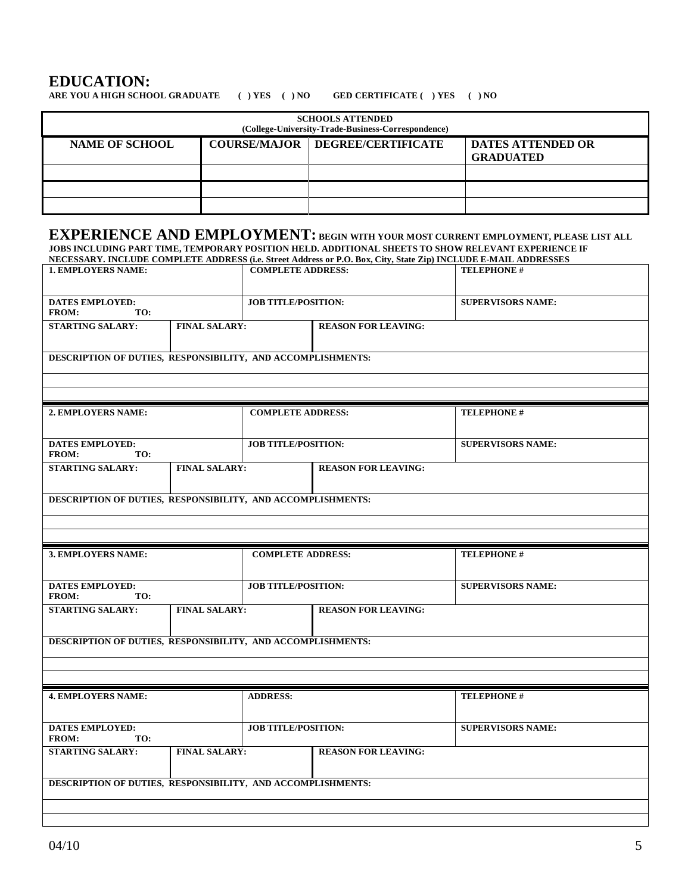## **EDUCATION:**

**ARE YOU A HIGH SCHOOL GRADUATE ( ) YES ( ) NO GED CERTIFICATE ( ) YES ( ) NO**

| <b>SCHOOLS ATTENDED</b><br>(College-University-Trade-Business-Correspondence) |  |                                          |                                              |  |
|-------------------------------------------------------------------------------|--|------------------------------------------|----------------------------------------------|--|
| <b>NAME OF SCHOOL</b>                                                         |  | <b>COURSE/MAJOR   DEGREE/CERTIFICATE</b> | <b>DATES ATTENDED OR</b><br><b>GRADUATED</b> |  |
|                                                                               |  |                                          |                                              |  |
|                                                                               |  |                                          |                                              |  |
|                                                                               |  |                                          |                                              |  |

# **EXPERIENCE AND EMPLOYMENT: BEGIN WITH YOUR MOST CURRENT EMPLOYMENT, PLEASE LIST ALL**

| NECESSARY. INCLUDE COMPLETE ADDRESS (i.e. Street Address or P.O. Box, City, State Zip) INCLUDE E-MAIL ADDRESSES |                      |                            |                            |                          |
|-----------------------------------------------------------------------------------------------------------------|----------------------|----------------------------|----------------------------|--------------------------|
| <b>1. EMPLOYERS NAME:</b>                                                                                       |                      | <b>COMPLETE ADDRESS:</b>   |                            | <b>TELEPHONE#</b>        |
|                                                                                                                 |                      |                            |                            |                          |
| <b>DATES EMPLOYED:</b><br><b>FROM:</b><br>TO:                                                                   |                      | <b>JOB TITLE/POSITION:</b> |                            | <b>SUPERVISORS NAME:</b> |
| <b>STARTING SALARY:</b>                                                                                         | <b>FINAL SALARY:</b> |                            | <b>REASON FOR LEAVING:</b> |                          |
| DESCRIPTION OF DUTIES, RESPONSIBILITY, AND ACCOMPLISHMENTS:                                                     |                      |                            |                            |                          |
|                                                                                                                 |                      |                            |                            |                          |
| 2. EMPLOYERS NAME:                                                                                              |                      | <b>COMPLETE ADDRESS:</b>   |                            | <b>TELEPHONE#</b>        |
| <b>DATES EMPLOYED:</b><br>FROM:<br>TO:                                                                          |                      | <b>JOB TITLE/POSITION:</b> |                            | <b>SUPERVISORS NAME:</b> |
| <b>STARTING SALARY:</b>                                                                                         | <b>FINAL SALARY:</b> |                            | <b>REASON FOR LEAVING:</b> |                          |
| DESCRIPTION OF DUTIES, RESPONSIBILITY, AND ACCOMPLISHMENTS:                                                     |                      |                            |                            |                          |
|                                                                                                                 |                      |                            |                            |                          |
|                                                                                                                 |                      |                            |                            |                          |
| 3. EMPLOYERS NAME:                                                                                              |                      | <b>COMPLETE ADDRESS:</b>   |                            | <b>TELEPHONE#</b>        |
|                                                                                                                 |                      |                            |                            |                          |
| <b>DATES EMPLOYED:</b><br>FROM:<br>TO:                                                                          |                      | <b>JOB TITLE/POSITION:</b> |                            | <b>SUPERVISORS NAME:</b> |
| <b>STARTING SALARY:</b>                                                                                         | <b>FINAL SALARY:</b> |                            | <b>REASON FOR LEAVING:</b> |                          |
| DESCRIPTION OF DUTIES, RESPONSIBILITY, AND ACCOMPLISHMENTS:                                                     |                      |                            |                            |                          |
|                                                                                                                 |                      |                            |                            |                          |
|                                                                                                                 |                      |                            |                            |                          |
| <b>4. EMPLOYERS NAME:</b>                                                                                       |                      | <b>ADDRESS:</b>            |                            | <b>TELEPHONE#</b>        |
| <b>DATES EMPLOYED:</b><br>FROM:<br>TO:                                                                          |                      | <b>JOB TITLE/POSITION:</b> |                            | <b>SUPERVISORS NAME:</b> |
| <b>STARTING SALARY:</b>                                                                                         | <b>FINAL SALARY:</b> |                            | <b>REASON FOR LEAVING:</b> |                          |
| DESCRIPTION OF DUTIES, RESPONSIBILITY, AND ACCOMPLISHMENTS:                                                     |                      |                            |                            |                          |
|                                                                                                                 |                      |                            |                            |                          |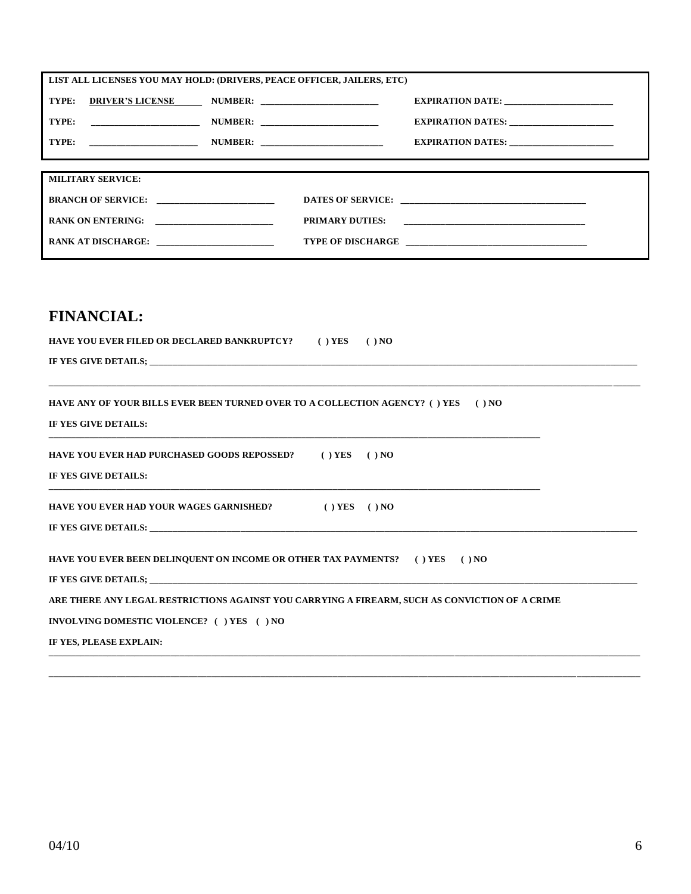| LIST ALL LICENSES YOU MAY HOLD: (DRIVERS, PEACE OFFICER, JAILERS, ETC) |  |                                                                                  |
|------------------------------------------------------------------------|--|----------------------------------------------------------------------------------|
| TYPE: DRIVER'S LICENSE NUMBER: _______________________                 |  | EXPIRATION DATE: _________________________                                       |
|                                                                        |  | EXPIRATION DATES: ________________________                                       |
|                                                                        |  |                                                                                  |
|                                                                        |  | ,我们也不会有什么?""我们的人,我们也不会有什么?""我们的人,我们也不会有什么?""我们的人,我们也不会有什么?""我们的人,我们也不会有什么?""我们的人 |
| <b>MILITARY SERVICE:</b>                                               |  | ,我们也不会有什么?""我们的人,我们也不会不会不会。""我们的人,我们也不会不会不会不会。""我们的人,我们也不会不会不会不会。""我们的人,我们也不会不会不 |
|                                                                        |  |                                                                                  |
| RANK ON ENTERING:                                                      |  |                                                                                  |
| RANK AT DISCHARGE:                                                     |  |                                                                                  |

# **FINANCIAL:**

| HAVE YOU EVER FILED OR DECLARED BANKRUPTCY? () YES () NO                                                                                                                 |
|--------------------------------------------------------------------------------------------------------------------------------------------------------------------------|
|                                                                                                                                                                          |
| HAVE ANY OF YOUR BILLS EVER BEEN TURNED OVER TO A COLLECTION AGENCY? ( ) YES ( ) NO<br>IF YES GIVE DETAILS:                                                              |
| HAVE YOU EVER HAD PURCHASED GOODS REPOSSED? () YES () NO<br>IF YES GIVE DETAILS:                                                                                         |
| HAVE YOU EVER HAD YOUR WAGES GARNISHED? () YES () NO                                                                                                                     |
| HAVE YOU EVER BEEN DELINQUENT ON INCOME OR OTHER TAX PAYMENTS? ( ) YES ( ) NO                                                                                            |
| ARE THERE ANY LEGAL RESTRICTIONS AGAINST YOU CARRYING A FIREARM, SUCH AS CONVICTION OF A CRIME<br>INVOLVING DOMESTIC VIOLENCE? ( ) YES ( ) NO<br>IF YES, PLEASE EXPLAIN: |
|                                                                                                                                                                          |

**\_\_\_\_\_\_\_\_\_\_\_\_\_\_\_\_\_\_\_\_\_\_\_\_\_\_\_\_\_\_\_\_\_\_\_\_\_\_\_\_\_\_\_\_\_\_\_\_\_\_\_\_\_\_\_\_\_\_\_\_\_\_\_\_\_\_\_\_\_\_\_\_\_\_\_\_\_\_\_\_\_\_\_\_\_\_\_\_\_\_\_\_\_\_\_\_\_\_\_\_\_\_\_\_\_\_\_\_\_\_\_\_\_\_\_\_\_\_\_\_\_\_\_\_\_\_\_\_\_\_\_**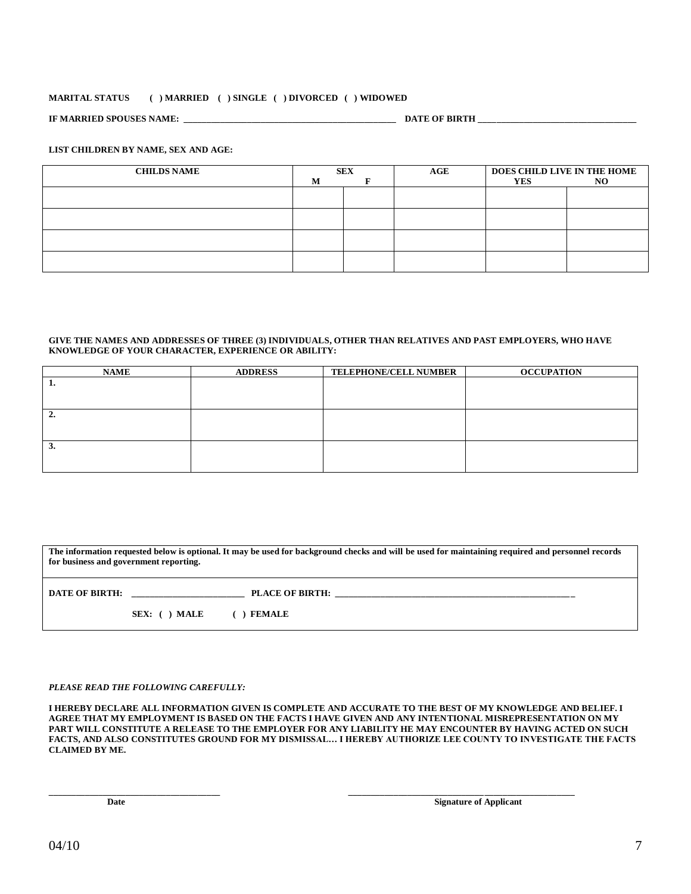## **MARITAL STATUS ( ) MARRIED ( ) SINGLE ( ) DIVORCED ( ) WIDOWED**

**IF MARRIED SPOUSES NAME: \_\_\_\_\_\_\_\_\_\_\_\_\_\_\_\_\_\_\_\_\_\_\_\_\_\_\_\_\_\_\_\_\_\_\_\_\_\_\_\_\_\_\_\_\_\_\_ DATE OF BIRTH \_\_\_\_\_\_\_\_\_\_\_\_\_\_\_\_\_\_\_\_\_\_\_\_\_\_\_\_\_\_\_\_\_\_\_**

## **LIST CHILDREN BY NAME, SEX AND AGE:**

| <b>CHILDS NAME</b> | M | <b>SEX</b> | AGE | DOES CHILD LIVE IN THE HOME<br><b>YES</b> | NO. |
|--------------------|---|------------|-----|-------------------------------------------|-----|
|                    |   |            |     |                                           |     |
|                    |   |            |     |                                           |     |
|                    |   |            |     |                                           |     |
|                    |   |            |     |                                           |     |
|                    |   |            |     |                                           |     |

### **GIVE THE NAMES AND ADDRESSES OF THREE (3) INDIVIDUALS, OTHER THAN RELATIVES AND PAST EMPLOYERS, WHO HAVE KNOWLEDGE OF YOUR CHARACTER, EXPERIENCE OR ABILITY:**

| <b>NAME</b> | <b>ADDRESS</b> | <b>TELEPHONE/CELL NUMBER</b> | <b>OCCUPATION</b> |
|-------------|----------------|------------------------------|-------------------|
| .,          |                |                              |                   |
|             |                |                              |                   |
|             |                |                              |                   |
| 2.          |                |                              |                   |
|             |                |                              |                   |
|             |                |                              |                   |
| 3.          |                |                              |                   |
|             |                |                              |                   |
|             |                |                              |                   |

| The information requested below is optional. It may be used for background checks and will be used for maintaining required and personnel records<br>for business and government reporting. |               |                                         |
|---------------------------------------------------------------------------------------------------------------------------------------------------------------------------------------------|---------------|-----------------------------------------|
| <b>DATE OF BIRTH:</b>                                                                                                                                                                       | SEX: ( ) MALE | <b>PLACE OF BIRTH:</b><br><b>FEMALE</b> |

## *PLEASE READ THE FOLLOWING CAREFULLY:*

**I HEREBY DECLARE ALL INFORMATION GIVEN IS COMPLETE AND ACCURATE TO THE BEST OF MY KNOWLEDGE AND BELIEF. I AGREE THAT MY EMPLOYMENT IS BASED ON THE FACTS I HAVE GIVEN AND ANY INTENTIONAL MISREPRESENTATION ON MY PART WILL CONSTITUTE A RELEASE TO THE EMPLOYER FOR ANY LIABILITY HE MAY ENCOUNTER BY HAVING ACTED ON SUCH FACTS, AND ALSO CONSTITUTES GROUND FOR MY DISMISSAL… I HEREBY AUTHORIZE LEE COUNTY TO INVESTIGATE THE FACTS CLAIMED BY ME.**

**\_\_\_\_\_\_\_\_\_\_\_\_\_\_\_\_\_\_\_\_\_\_\_\_\_\_\_\_\_\_\_\_\_\_\_\_\_\_ \_\_\_\_\_\_\_\_\_\_\_\_\_\_\_\_\_\_\_\_\_\_\_\_\_\_\_\_\_\_\_\_\_\_\_\_\_\_\_\_\_\_\_\_\_\_\_\_\_\_**